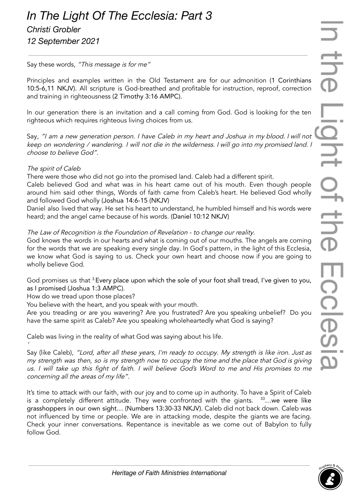Say these words, "This message is for me"

Principles and examples written in the Old Testament are for our admonition (1 Corinthians 10:5-6,11 NKJV). All scripture is God-breathed and profitable for instruction, reproof, correction and training in righteousness (2 Timothy 3:16 AMPC).

In our generation there is an invitation and a call coming from God. God is looking for the ten righteous which requires righteous living choices from us.

Say, "I am <sup>a</sup> new generation person. <sup>I</sup> have Caleb in my heart and Joshua in my blood. <sup>I</sup> will not keep on wondering / wandering. <sup>I</sup> will not die in the wilderness. <sup>I</sup> will go into my promised land. <sup>I</sup> choose to believe God".

# The spirit of Caleb

'

There were those who did not go into the promised land. Caleb had a different spirit.

Caleb believed God and what was in his heart came out of his mouth. Even though people around him said other things, Words of faith came from Caleb's heart. He believed God wholly and followed God wholly (Joshua 14:6-15 (NKJV)

Daniel also lived that way. He set his heart to understand, he humbled himself and his words were heard; and the angel came because of his words. (Daniel 10:12 NKJV)

# The Law of Recognition is the Foundation of Revelation - to change our reality.

God knows the words in our hearts and what is coming out of our mouths. The angels are coming for the words that we are speaking every single day. In God's pattern, in the light of this Ecclesia, we know what God is saying to us. Check your own heart and choose now if you are going to wholly believe God.

God promises us that <sup>3</sup> Every place upon which the sole of your foot shall tread, I've given to you, as I promised (Joshua 1:3 AMPC).

How do we tread upon those places?

You believe with the heart, and you speak with your mouth.

Are you treading or are you wavering? Are you frustrated? Are you speaking unbelief? Do you have the same spirit as Caleb? Are you speaking wholeheartedly what God is saying?

Caleb was living in the reality of what God was saying about his life.

Say (like Caleb), "Lord, after all these years, I'm ready to occupy. My strength is like iron. Just as my strength was then, so is my strength now to occupy the time and the place that God is <sup>g</sup>iving us. <sup>I</sup> will take up this fight of faith. <sup>I</sup> will believe God's Word to me and His promises to me concerning all the areas of my life".

It's time to attack with our faith, with our joy and to come up in authority. To have a Spirit of Caleb is a completely different attitude. They were confronted with the giants. <sup>33</sup>...we were like grasshoppers in our own sight… (Numbers 13:30-33 NKJV). Caleb did not back down. Caleb was not influenced by time or people. We are in attacking mode, despite the giants we are facing. Check your inner conversations. Repentance is inevitable as we come out of Babylon to fully follow God.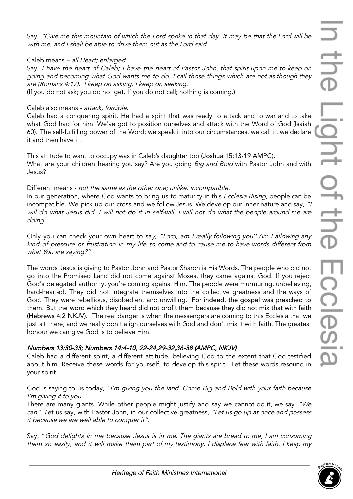Say, "Give me this mountain of which the Lord spoke in that day. It may be that the Lord will be with me, and I shall be able to drive them out as the Lord said.

#### Caleb means – all Heart; enlarged.

Say, <sup>I</sup> have the heart of Caleb; <sup>I</sup> have the heart of Pastor John, that spirit upon me to keep on going and becoming what God wants me to do. I call those things which are not as though they are (Romans 4:17). <sup>I</sup> keep on asking, <sup>I</sup> keep on seeking.

(If you do not ask; you do not get. If you do not call; nothing is coming.)

#### Caleb also means - attack, forcible.

Caleb had a conquering spirit. He had a spirit that was ready to attack and to war and to take what God had for him. We've got to position ourselves and attack with the Word of God (Isaiah 60). The self-fulfilling power of the Word; we speak it into our circumstances, we call it, we declare it and then have it.

This attitude to want to occupy was in Caleb's daughter too (Joshua 15:13-19 AMPC). What are your children hearing you say? Are you going *Big and Bold* with Pastor John and with Jesus?

### Different means - not the same as the other one; unlike; incompatible.

In our generation, where God wants to bring us to maturity in this *Ecclesia Rising*, people can be incompatible. We pick up our cross and we follow Jesus. We develop our inner nature and say, "I will do what Jesus did. <sup>I</sup> will not do it in self-will. <sup>I</sup> will not do what the people around me are doing.

Only you can check your own heart to say, "Lord, am I really following you? Am I allowing any kind of pressure or frustration in my life to come and to cause me to have words different from what You are saying?"

The words Jesus is giving to Pastor John and Pastor Sharon is His Words. The people who did not go into the Promised Land did not come against Moses, they came against God. If you reject God's delegated authority, you're coming against Him. The people were murmuring, unbelieving, hard-hearted. They did not integrate themselves into the collective greatness and the ways of God. They were rebellious, disobedient and unwilling. For indeed, the gospel was preached to them. But the word which they heard did not profit them because they did not mix that with faith (Hebrews 4:2 NKJV). The real danger is when the messengers are coming to this Ecclesia that we just sit there, and we really don't align ourselves with God and don't mix it with faith. The greatest honour we can give God is to believe Him!

### Numbers 13:30-33; Numbers 14:4-10, 22-24,29-32,36-38 (AMPC, NKJV)

Caleb had a different spirit, a different attitude, believing God to the extent that God testified about him. Receive these words for yourself, to develop this spirit. Let these words resound in your spirit.

God is saying to us today, "I'm giving you the land. Come Big and Bold with your faith because I'm giving it to you."

There are many giants. While other people might justify and say we cannot do it, we say, "We can". Let us say, with Pastor John, in our collective greatness, "Let us go up at once and possess it because we are well able to conquer it".

Say, "God delights in me because Jesus is in me. The giants are bread to me, I am consuming them so easily, and it will make them part of my testimony. <sup>I</sup> displace fear with faith. <sup>I</sup> keep my